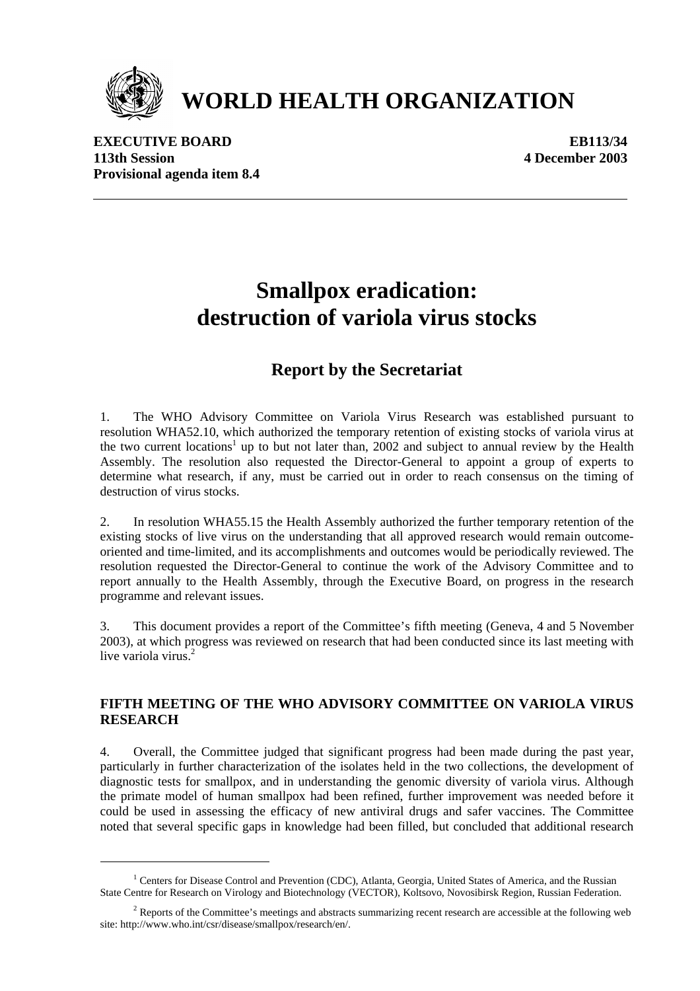

# **WORLD HEALTH ORGANIZATION**

**EXECUTIVE BOARD EB113/34 113th Session 4 December 2003 Provisional agenda item 8.4** 

## **Smallpox eradication: destruction of variola virus stocks**

## **Report by the Secretariat**

1. The WHO Advisory Committee on Variola Virus Research was established pursuant to resolution WHA52.10, which authorized the temporary retention of existing stocks of variola virus at the two current locations<sup>1</sup> up to but not later than, 2002 and subject to annual review by the Health Assembly. The resolution also requested the Director-General to appoint a group of experts to determine what research, if any, must be carried out in order to reach consensus on the timing of destruction of virus stocks.

2. In resolution WHA55.15 the Health Assembly authorized the further temporary retention of the existing stocks of live virus on the understanding that all approved research would remain outcomeoriented and time-limited, and its accomplishments and outcomes would be periodically reviewed. The resolution requested the Director-General to continue the work of the Advisory Committee and to report annually to the Health Assembly, through the Executive Board, on progress in the research programme and relevant issues.

3. This document provides a report of the Committee's fifth meeting (Geneva, 4 and 5 November 2003), at which progress was reviewed on research that had been conducted since its last meeting with live variola virus<sup>2</sup>

#### **FIFTH MEETING OF THE WHO ADVISORY COMMITTEE ON VARIOLA VIRUS RESEARCH**

4. Overall, the Committee judged that significant progress had been made during the past year, particularly in further characterization of the isolates held in the two collections, the development of diagnostic tests for smallpox, and in understanding the genomic diversity of variola virus. Although the primate model of human smallpox had been refined, further improvement was needed before it could be used in assessing the efficacy of new antiviral drugs and safer vaccines. The Committee noted that several specific gaps in knowledge had been filled, but concluded that additional research

<sup>&</sup>lt;sup>1</sup> Centers for Disease Control and Prevention (CDC), Atlanta, Georgia, United States of America, and the Russian State Centre for Research on Virology and Biotechnology (VECTOR), Koltsovo, Novosibirsk Region, Russian Federation.

 $2$  Reports of the Committee's meetings and abstracts summarizing recent research are accessible at the following web site: http://www.who.int/csr/disease/smallpox/research/en/.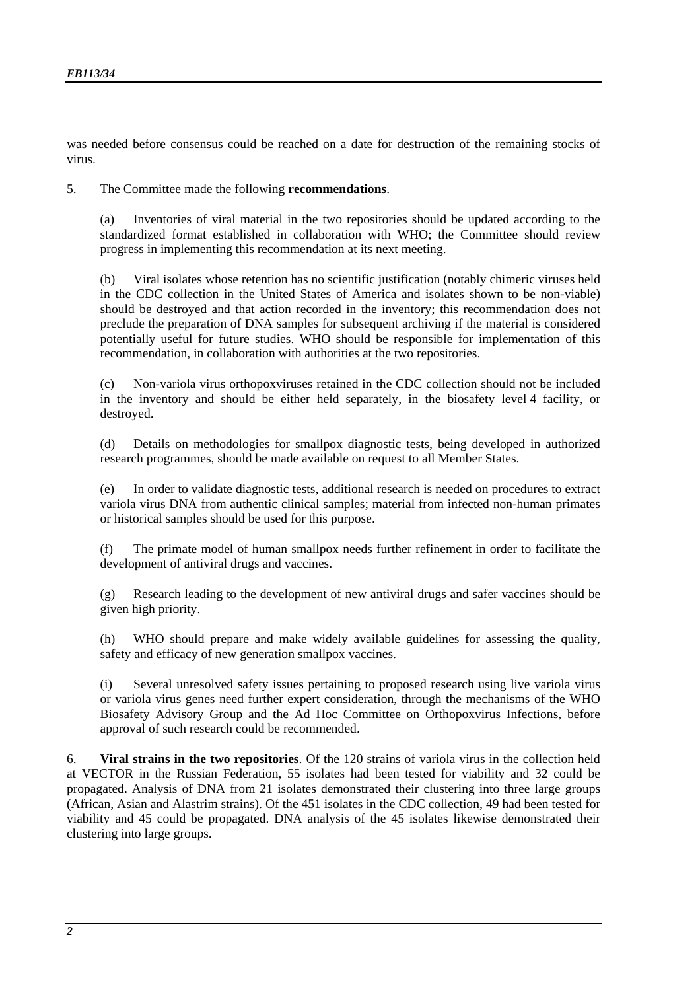was needed before consensus could be reached on a date for destruction of the remaining stocks of virus.

5. The Committee made the following **recommendations**.

(a) Inventories of viral material in the two repositories should be updated according to the standardized format established in collaboration with WHO; the Committee should review progress in implementing this recommendation at its next meeting.

(b) Viral isolates whose retention has no scientific justification (notably chimeric viruses held in the CDC collection in the United States of America and isolates shown to be non-viable) should be destroyed and that action recorded in the inventory; this recommendation does not preclude the preparation of DNA samples for subsequent archiving if the material is considered potentially useful for future studies. WHO should be responsible for implementation of this recommendation, in collaboration with authorities at the two repositories.

(c) Non-variola virus orthopoxviruses retained in the CDC collection should not be included in the inventory and should be either held separately, in the biosafety level 4 facility, or destroyed.

(d) Details on methodologies for smallpox diagnostic tests, being developed in authorized research programmes, should be made available on request to all Member States.

(e) In order to validate diagnostic tests, additional research is needed on procedures to extract variola virus DNA from authentic clinical samples; material from infected non-human primates or historical samples should be used for this purpose.

(f) The primate model of human smallpox needs further refinement in order to facilitate the development of antiviral drugs and vaccines.

(g) Research leading to the development of new antiviral drugs and safer vaccines should be given high priority.

(h) WHO should prepare and make widely available guidelines for assessing the quality, safety and efficacy of new generation smallpox vaccines.

(i) Several unresolved safety issues pertaining to proposed research using live variola virus or variola virus genes need further expert consideration, through the mechanisms of the WHO Biosafety Advisory Group and the Ad Hoc Committee on Orthopoxvirus Infections, before approval of such research could be recommended.

6. **Viral strains in the two repositories**. Of the 120 strains of variola virus in the collection held at VECTOR in the Russian Federation, 55 isolates had been tested for viability and 32 could be propagated. Analysis of DNA from 21 isolates demonstrated their clustering into three large groups (African, Asian and Alastrim strains). Of the 451 isolates in the CDC collection, 49 had been tested for viability and 45 could be propagated. DNA analysis of the 45 isolates likewise demonstrated their clustering into large groups.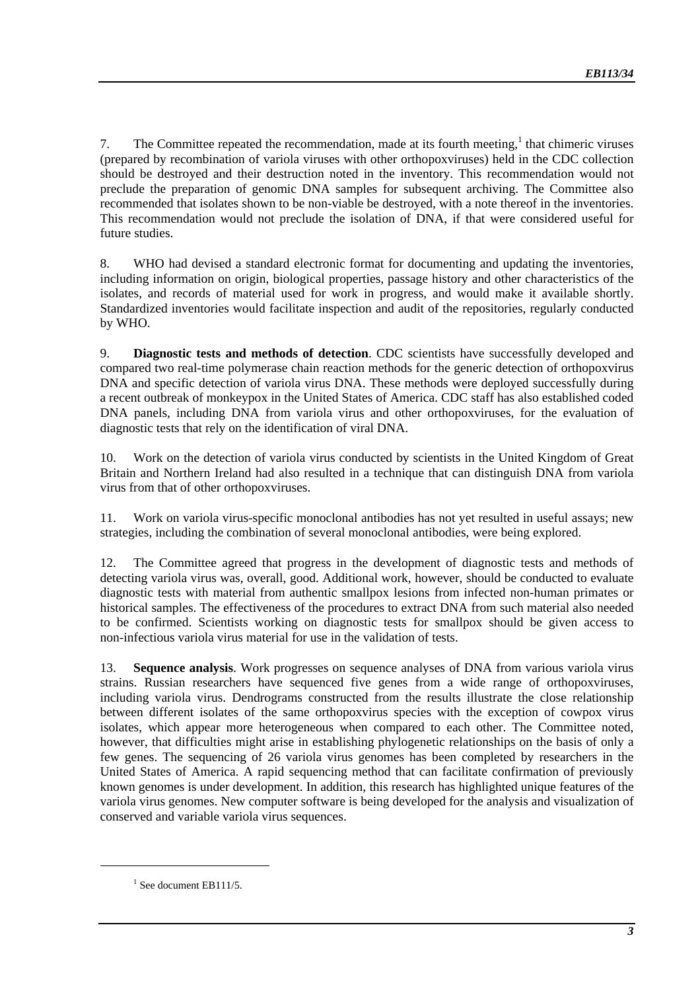7. The Committee repeated the recommendation, made at its fourth meeting, $<sup>1</sup>$  that chimeric viruses</sup> (prepared by recombination of variola viruses with other orthopoxviruses) held in the CDC collection should be destroyed and their destruction noted in the inventory. This recommendation would not preclude the preparation of genomic DNA samples for subsequent archiving. The Committee also recommended that isolates shown to be non-viable be destroyed, with a note thereof in the inventories. This recommendation would not preclude the isolation of DNA, if that were considered useful for future studies.

8. WHO had devised a standard electronic format for documenting and updating the inventories, including information on origin, biological properties, passage history and other characteristics of the isolates, and records of material used for work in progress, and would make it available shortly. Standardized inventories would facilitate inspection and audit of the repositories, regularly conducted by WHO.

9. **Diagnostic tests and methods of detection**. CDC scientists have successfully developed and compared two real-time polymerase chain reaction methods for the generic detection of orthopoxvirus DNA and specific detection of variola virus DNA. These methods were deployed successfully during a recent outbreak of monkeypox in the United States of America. CDC staff has also established coded DNA panels, including DNA from variola virus and other orthopoxviruses, for the evaluation of diagnostic tests that rely on the identification of viral DNA.

10. Work on the detection of variola virus conducted by scientists in the United Kingdom of Great Britain and Northern Ireland had also resulted in a technique that can distinguish DNA from variola virus from that of other orthopoxviruses.

11. Work on variola virus-specific monoclonal antibodies has not yet resulted in useful assays; new strategies, including the combination of several monoclonal antibodies, were being explored.

12. The Committee agreed that progress in the development of diagnostic tests and methods of detecting variola virus was, overall, good. Additional work, however, should be conducted to evaluate diagnostic tests with material from authentic smallpox lesions from infected non-human primates or historical samples. The effectiveness of the procedures to extract DNA from such material also needed to be confirmed. Scientists working on diagnostic tests for smallpox should be given access to non-infectious variola virus material for use in the validation of tests.

13. **Sequence analysis**. Work progresses on sequence analyses of DNA from various variola virus strains. Russian researchers have sequenced five genes from a wide range of orthopoxviruses, including variola virus. Dendrograms constructed from the results illustrate the close relationship between different isolates of the same orthopoxvirus species with the exception of cowpox virus isolates, which appear more heterogeneous when compared to each other. The Committee noted, however, that difficulties might arise in establishing phylogenetic relationships on the basis of only a few genes. The sequencing of 26 variola virus genomes has been completed by researchers in the United States of America. A rapid sequencing method that can facilitate confirmation of previously known genomes is under development. In addition, this research has highlighted unique features of the variola virus genomes. New computer software is being developed for the analysis and visualization of conserved and variable variola virus sequences.

 $1$  See document EB111/5.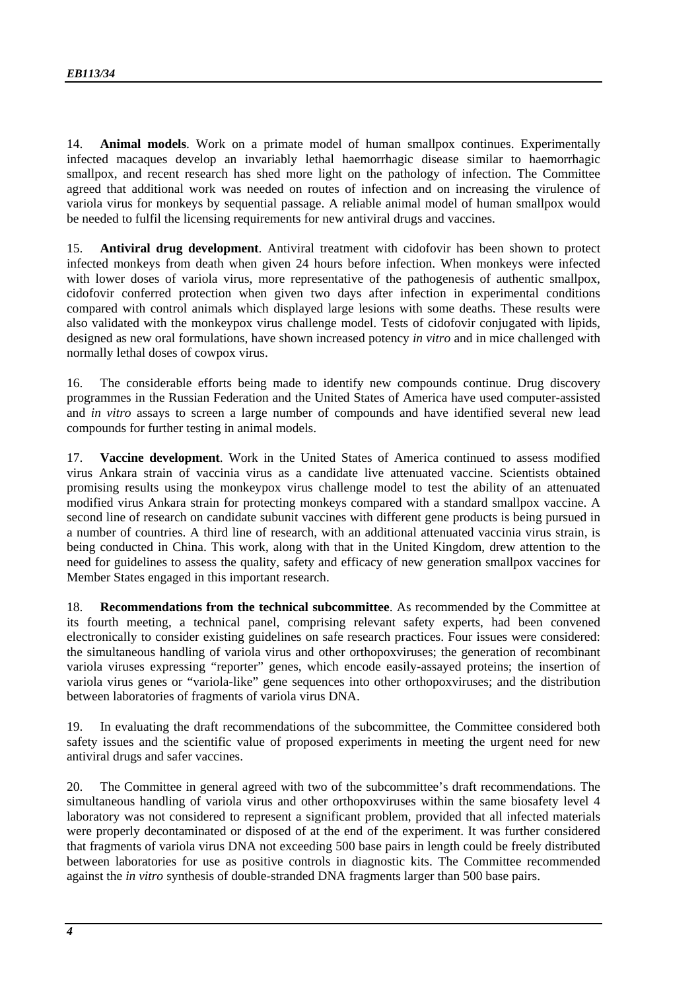14. **Animal models**. Work on a primate model of human smallpox continues. Experimentally infected macaques develop an invariably lethal haemorrhagic disease similar to haemorrhagic smallpox, and recent research has shed more light on the pathology of infection. The Committee agreed that additional work was needed on routes of infection and on increasing the virulence of variola virus for monkeys by sequential passage. A reliable animal model of human smallpox would be needed to fulfil the licensing requirements for new antiviral drugs and vaccines.

15. **Antiviral drug development**. Antiviral treatment with cidofovir has been shown to protect infected monkeys from death when given 24 hours before infection. When monkeys were infected with lower doses of variola virus, more representative of the pathogenesis of authentic smallpox, cidofovir conferred protection when given two days after infection in experimental conditions compared with control animals which displayed large lesions with some deaths. These results were also validated with the monkeypox virus challenge model. Tests of cidofovir conjugated with lipids, designed as new oral formulations, have shown increased potency *in vitro* and in mice challenged with normally lethal doses of cowpox virus.

16. The considerable efforts being made to identify new compounds continue. Drug discovery programmes in the Russian Federation and the United States of America have used computer-assisted and *in vitro* assays to screen a large number of compounds and have identified several new lead compounds for further testing in animal models.

17. **Vaccine development**. Work in the United States of America continued to assess modified virus Ankara strain of vaccinia virus as a candidate live attenuated vaccine. Scientists obtained promising results using the monkeypox virus challenge model to test the ability of an attenuated modified virus Ankara strain for protecting monkeys compared with a standard smallpox vaccine. A second line of research on candidate subunit vaccines with different gene products is being pursued in a number of countries. A third line of research, with an additional attenuated vaccinia virus strain, is being conducted in China. This work, along with that in the United Kingdom, drew attention to the need for guidelines to assess the quality, safety and efficacy of new generation smallpox vaccines for Member States engaged in this important research.

18. **Recommendations from the technical subcommittee**. As recommended by the Committee at its fourth meeting, a technical panel, comprising relevant safety experts, had been convened electronically to consider existing guidelines on safe research practices. Four issues were considered: the simultaneous handling of variola virus and other orthopoxviruses; the generation of recombinant variola viruses expressing "reporter" genes, which encode easily-assayed proteins; the insertion of variola virus genes or "variola-like" gene sequences into other orthopoxviruses; and the distribution between laboratories of fragments of variola virus DNA.

19. In evaluating the draft recommendations of the subcommittee, the Committee considered both safety issues and the scientific value of proposed experiments in meeting the urgent need for new antiviral drugs and safer vaccines.

20. The Committee in general agreed with two of the subcommittee's draft recommendations. The simultaneous handling of variola virus and other orthopoxviruses within the same biosafety level 4 laboratory was not considered to represent a significant problem, provided that all infected materials were properly decontaminated or disposed of at the end of the experiment. It was further considered that fragments of variola virus DNA not exceeding 500 base pairs in length could be freely distributed between laboratories for use as positive controls in diagnostic kits. The Committee recommended against the *in vitro* synthesis of double-stranded DNA fragments larger than 500 base pairs.